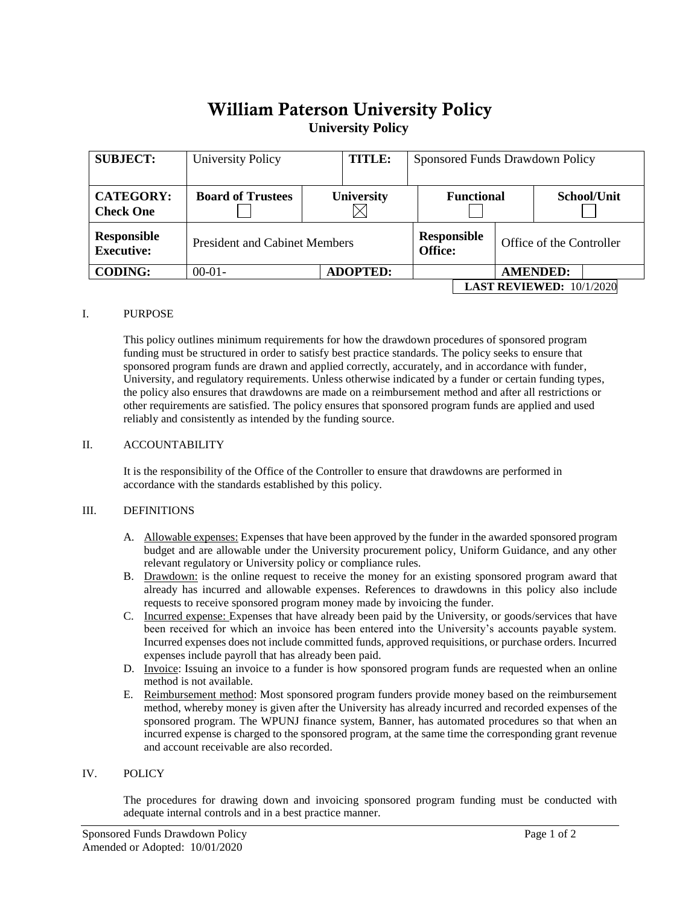# William Paterson University Policy **University Policy**

| <b>SUBJECT:</b>                         | <b>University Policy</b>             | <b>TITLE:</b>     | Sponsored Funds Drawdown Policy   |                                      |  |                          |  |
|-----------------------------------------|--------------------------------------|-------------------|-----------------------------------|--------------------------------------|--|--------------------------|--|
| <b>CATEGORY:</b><br><b>Check One</b>    | <b>Board of Trustees</b>             | <b>University</b> | <b>Functional</b>                 |                                      |  | School/Unit              |  |
| <b>Responsible</b><br><b>Executive:</b> | <b>President and Cabinet Members</b> |                   |                                   | <b>Responsible</b><br><b>Office:</b> |  | Office of the Controller |  |
| <b>CODING:</b>                          | $00-01-$                             | <b>ADOPTED:</b>   |                                   |                                      |  | <b>AMENDED:</b>          |  |
|                                         |                                      |                   | <b>LAST REVIEWED:</b> $10/1/2020$ |                                      |  |                          |  |

## I. PURPOSE

This policy outlines minimum requirements for how the drawdown procedures of sponsored program funding must be structured in order to satisfy best practice standards. The policy seeks to ensure that sponsored program funds are drawn and applied correctly, accurately, and in accordance with funder, University, and regulatory requirements. Unless otherwise indicated by a funder or certain funding types, the policy also ensures that drawdowns are made on a reimbursement method and after all restrictions or other requirements are satisfied. The policy ensures that sponsored program funds are applied and used reliably and consistently as intended by the funding source.

## II. ACCOUNTABILITY

It is the responsibility of the Office of the Controller to ensure that drawdowns are performed in accordance with the standards established by this policy.

## III. DEFINITIONS

- A. Allowable expenses: Expenses that have been approved by the funder in the awarded sponsored program budget and are allowable under the University procurement policy, Uniform Guidance, and any other relevant regulatory or University policy or compliance rules.
- B. Drawdown: is the online request to receive the money for an existing sponsored program award that already has incurred and allowable expenses. References to drawdowns in this policy also include requests to receive sponsored program money made by invoicing the funder.
- C. Incurred expense: Expenses that have already been paid by the University, or goods/services that have been received for which an invoice has been entered into the University's accounts payable system. Incurred expenses does not include committed funds, approved requisitions, or purchase orders. Incurred expenses include payroll that has already been paid.
- D. Invoice: Issuing an invoice to a funder is how sponsored program funds are requested when an online method is not available.
- E. Reimbursement method: Most sponsored program funders provide money based on the reimbursement method, whereby money is given after the University has already incurred and recorded expenses of the sponsored program. The WPUNJ finance system, Banner, has automated procedures so that when an incurred expense is charged to the sponsored program, at the same time the corresponding grant revenue and account receivable are also recorded.

## IV. POLICY

The procedures for drawing down and invoicing sponsored program funding must be conducted with adequate internal controls and in a best practice manner.